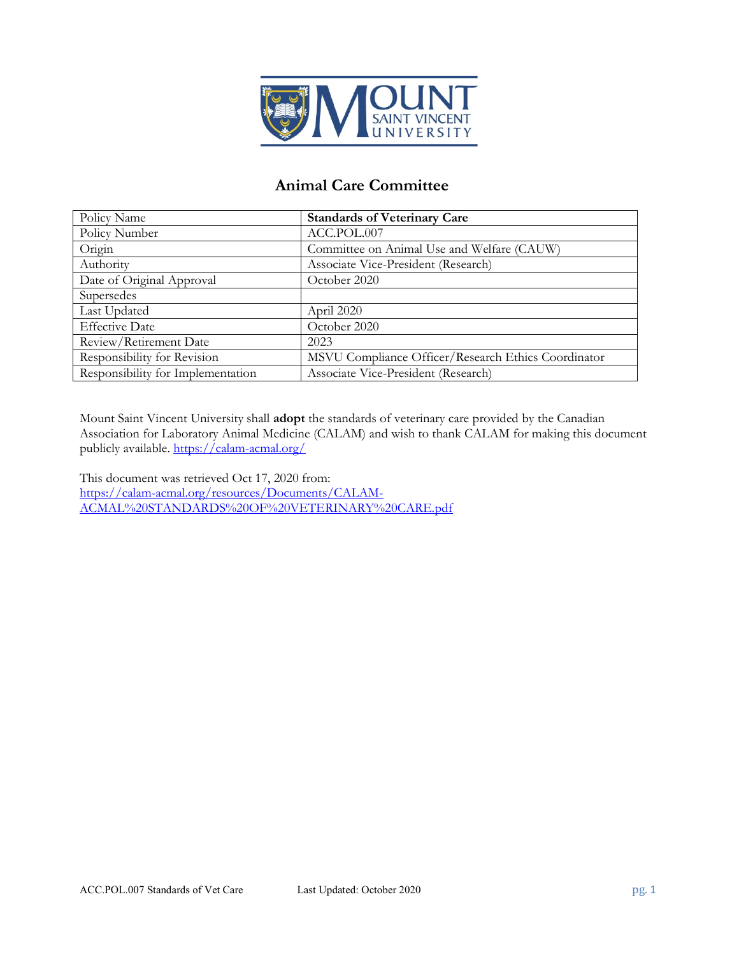

# **Animal Care Committee**

| Policy Name                       | <b>Standards of Veterinary Care</b>                 |
|-----------------------------------|-----------------------------------------------------|
| Policy Number                     | ACC.POL.007                                         |
| Origin                            | Committee on Animal Use and Welfare (CAUW)          |
| Authority                         | Associate Vice-President (Research)                 |
| Date of Original Approval         | October 2020                                        |
| Supersedes                        |                                                     |
| Last Updated                      | April 2020                                          |
| <b>Effective Date</b>             | October 2020                                        |
| Review/Retirement Date            | 2023                                                |
| Responsibility for Revision       | MSVU Compliance Officer/Research Ethics Coordinator |
| Responsibility for Implementation | Associate Vice-President (Research)                 |

Mount Saint Vincent University shall **adopt** the standards of veterinary care provided by the Canadian Association for Laboratory Animal Medicine (CALAM) and wish to thank CALAM for making this document publicly available[. https://calam-acmal.org/](https://calam-acmal.org/)

This document was retrieved Oct 17, 2020 from: [https://calam-acmal.org/resources/Documents/CALAM-](https://calam-acmal.org/resources/Documents/CALAM-ACMAL%20STANDARDS%20OF%20VETERINARY%20CARE.pdf)[ACMAL%20STANDARDS%20OF%20VETERINARY%20CARE.pdf](https://calam-acmal.org/resources/Documents/CALAM-ACMAL%20STANDARDS%20OF%20VETERINARY%20CARE.pdf)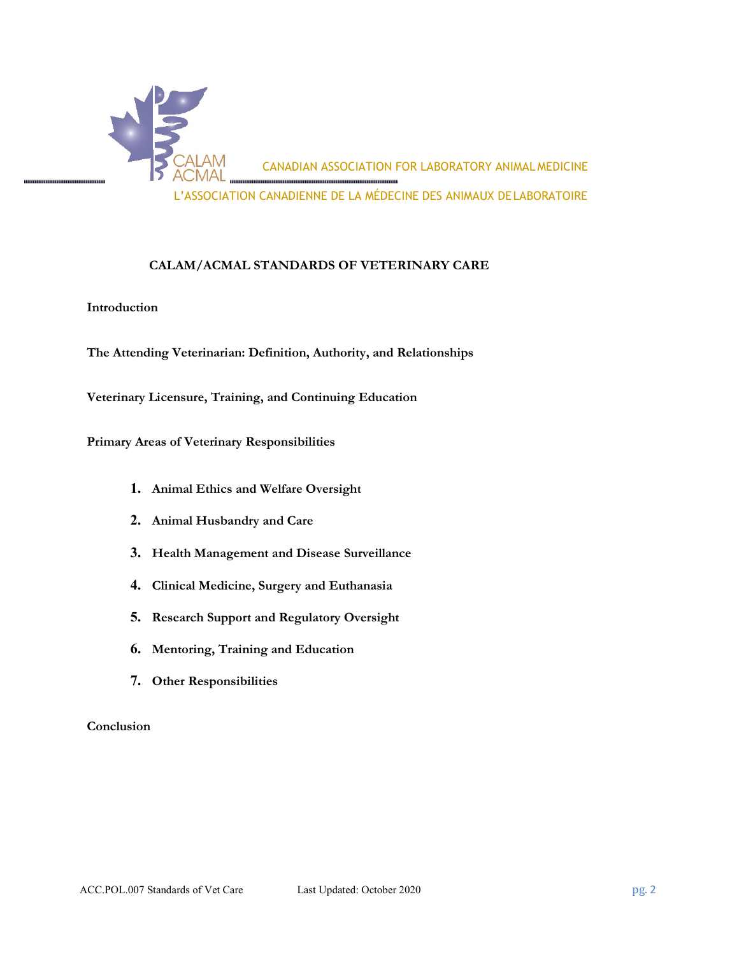

#### **CALAM/ACMAL STANDARDS OF VETERINARY CARE**

#### **Introduction**

**The Attending Veterinarian: Definition, Authority, and Relationships** 

**Veterinary Licensure, Training, and Continuing Education**

**Primary Areas of Veterinary Responsibilities**

- **1. Animal Ethics and Welfare Oversight**
- **2. Animal Husbandry and Care**
- **3. Health Management and Disease Surveillance**
- **4. Clinical Medicine, Surgery and Euthanasia**
- **5. Research Support and Regulatory Oversight**
- **6. Mentoring, Training and Education**
- **7. Other Responsibilities**

#### **Conclusion**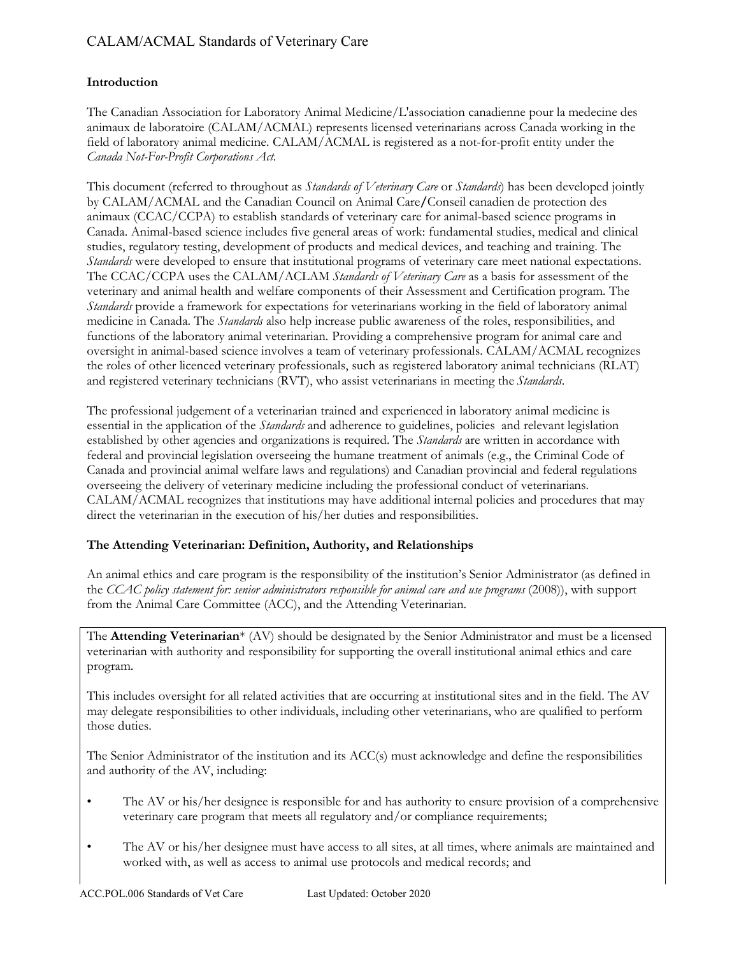#### **Introduction**

The Canadian Association for Laboratory Animal Medicine/L'association canadienne pour la medecine des animaux de laboratoire (CALAM/ACMAL) represents licensed veterinarians across Canada working in the field of laboratory animal medicine. CALAM/ACMAL is registered as a not-for-profit entity under the *Canada Not-For-Profit Corporations Act.*

This document (referred to throughout as *Standards of Veterinary Care* or *Standards*) has been developed jointly by CALAM/ACMAL and the Canadian Council on Animal Care**/**Conseil canadien de protection des animaux (CCAC/CCPA) to establish standards of veterinary care for animal-based science programs in Canada. Animal-based science includes five general areas of work: fundamental studies, medical and clinical studies, regulatory testing, development of products and medical devices, and teaching and training. The *Standards* were developed to ensure that institutional programs of veterinary care meet national expectations. The CCAC/CCPA uses the CALAM/ACLAM *Standards of Veterinary Care* as a basis for assessment of the veterinary and animal health and welfare components of their Assessment and Certification program. The *Standards* provide a framework for expectations for veterinarians working in the field of laboratory animal medicine in Canada. The *Standards* also help increase public awareness of the roles, responsibilities, and functions of the laboratory animal veterinarian. Providing a comprehensive program for animal care and oversight in animal-based science involves a team of veterinary professionals. CALAM/ACMAL recognizes the roles of other licenced veterinary professionals, such as registered laboratory animal technicians (RLAT) and registered veterinary technicians (RVT), who assist veterinarians in meeting the *Standards*.

The professional judgement of a veterinarian trained and experienced in laboratory animal medicine is essential in the application of the *Standards* and adherence to guidelines, policies and relevant legislation established by other agencies and organizations is required. The *Standards* are written in accordance with federal and provincial legislation overseeing the humane treatment of animals (e.g., the Criminal Code of Canada and provincial animal welfare laws and regulations) and Canadian provincial and federal regulations overseeing the delivery of veterinary medicine including the professional conduct of veterinarians. CALAM/ACMAL recognizes that institutions may have additional internal policies and procedures that may direct the veterinarian in the execution of his/her duties and responsibilities.

### **The Attending Veterinarian: Definition, Authority, and Relationships**

An animal ethics and care program is the responsibility of the institution's Senior Administrator (as defined in the *CCAC policy statement for: senior administrators responsible for animal care and use programs* (2008)), with support from the Animal Care Committee (ACC), and the Attending Veterinarian.

The **Attending Veterinarian**\* (AV) should be designated by the Senior Administrator and must be a licensed veterinarian with authority and responsibility for supporting the overall institutional animal ethics and care program.

This includes oversight for all related activities that are occurring at institutional sites and in the field. The AV may delegate responsibilities to other individuals, including other veterinarians, who are qualified to perform those duties.

The Senior Administrator of the institution and its ACC(s) must acknowledge and define the responsibilities and authority of the AV, including:

- The AV or his/her designee is responsible for and has authority to ensure provision of a comprehensive veterinary care program that meets all regulatory and/or compliance requirements;
- The AV or his/her designee must have access to all sites, at all times, where animals are maintained and worked with, as well as access to animal use protocols and medical records; and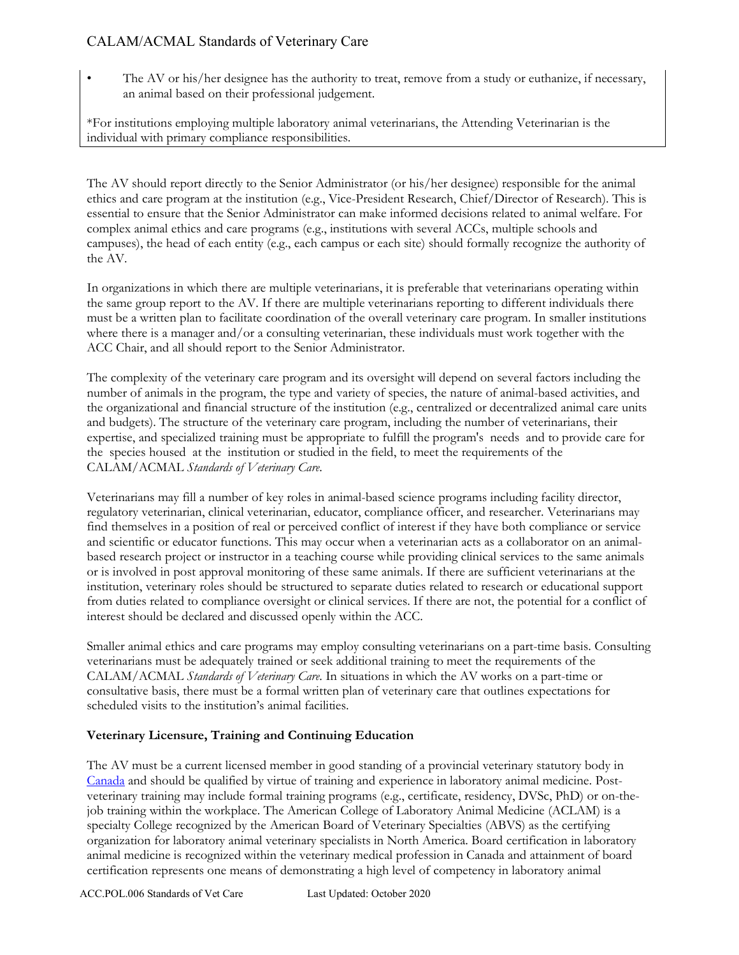• The AV or his/her designee has the authority to treat, remove from a study or euthanize, if necessary, an animal based on their professional judgement.

\*For institutions employing multiple laboratory animal veterinarians, the Attending Veterinarian is the individual with primary compliance responsibilities.

The AV should report directly to the Senior Administrator (or his/her designee) responsible for the animal ethics and care program at the institution (e.g., Vice-President Research, Chief/Director of Research). This is essential to ensure that the Senior Administrator can make informed decisions related to animal welfare. For complex animal ethics and care programs (e.g., institutions with several ACCs, multiple schools and campuses), the head of each entity (e.g., each campus or each site) should formally recognize the authority of the AV.

In organizations in which there are multiple veterinarians, it is preferable that veterinarians operating within the same group report to the AV. If there are multiple veterinarians reporting to different individuals there must be a written plan to facilitate coordination of the overall veterinary care program. In smaller institutions where there is a manager and/or a consulting veterinarian, these individuals must work together with the ACC Chair, and all should report to the Senior Administrator.

The complexity of the veterinary care program and its oversight will depend on several factors including the number of animals in the program, the type and variety of species, the nature of animal-based activities, and the organizational and financial structure of the institution (e.g., centralized or decentralized animal care units and budgets). The structure of the veterinary care program, including the number of veterinarians, their expertise, and specialized training must be appropriate to fulfill the program's needs and to provide care for the species housed at the institution or studied in the field, to meet the requirements of the CALAM/ACMAL *Standards of Veterinary Care*.

Veterinarians may fill a number of key roles in animal-based science programs including facility director, regulatory veterinarian, clinical veterinarian, educator, compliance officer, and researcher. Veterinarians may find themselves in a position of real or perceived conflict of interest if they have both compliance or service and scientific or educator functions. This may occur when a veterinarian acts as a collaborator on an animalbased research project or instructor in a teaching course while providing clinical services to the same animals or is involved in post approval monitoring of these same animals. If there are sufficient veterinarians at the institution, veterinary roles should be structured to separate duties related to research or educational support from duties related to compliance oversight or clinical services. If there are not, the potential for a conflict of interest should be declared and discussed openly within the ACC.

Smaller animal ethics and care programs may employ consulting veterinarians on a part-time basis. Consulting veterinarians must be adequately trained or seek additional training to meet the requirements of the CALAM/ACMAL *Standards of Veterinary Care*. In situations in which the AV works on a part-time or consultative basis, there must be a formal written plan of veterinary care that outlines expectations for scheduled visits to the institution's animal facilities.

### **Veterinary Licensure, Training and Continuing Education**

The AV must be a current licensed member in good standing of a provincial veterinary statutory body in [Canada](https://www.canadianveterinarians.net/resources/veterinarian-careers) and should be qualified by virtue of training and experience in laboratory animal medicine. Postveterinary training may include formal training programs (e.g., certificate, residency, DVSc, PhD) or on-thejob training within the workplace. The American College of Laboratory Animal Medicine (ACLAM) is a specialty College recognized by the American Board of Veterinary Specialties (ABVS) as the certifying organization for laboratory animal veterinary specialists in North America. Board certification in laboratory animal medicine is recognized within the veterinary medical profession in Canada and attainment of board certification represents one means of demonstrating a high level of competency in laboratory animal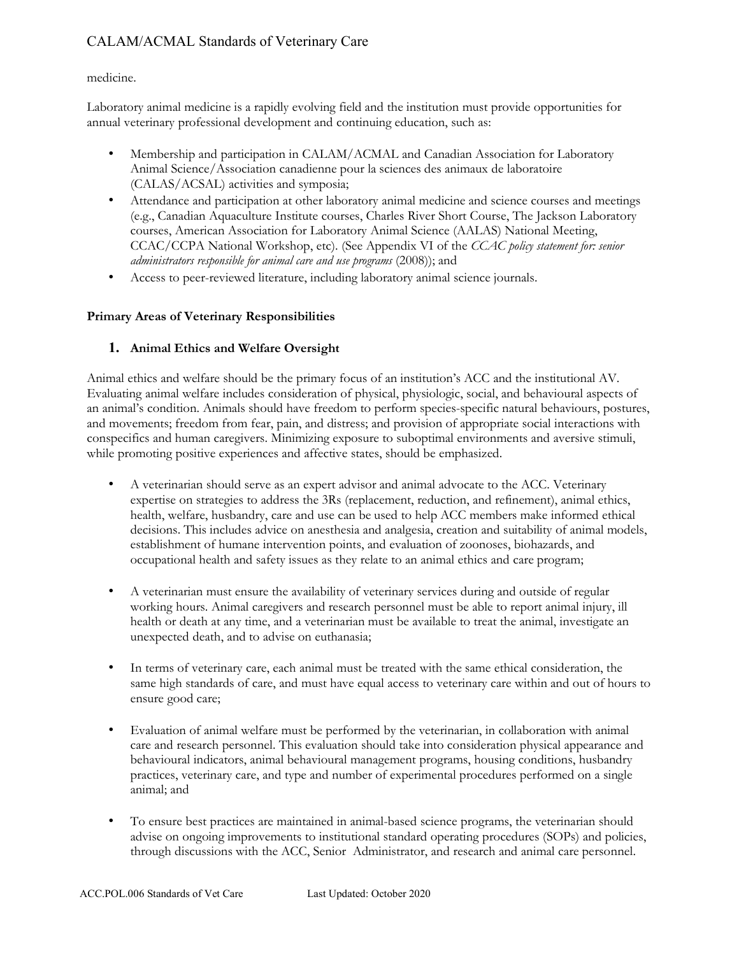### medicine.

Laboratory animal medicine is a rapidly evolving field and the institution must provide opportunities for annual veterinary professional development and continuing education, such as:

- Membership and participation in CALAM/ACMAL and Canadian Association for Laboratory Animal Science/Association canadienne pour la sciences des animaux de laboratoire (CALAS/ACSAL) activities and symposia;
- Attendance and participation at other laboratory animal medicine and science courses and meetings (e.g., Canadian Aquaculture Institute courses, Charles River Short Course, The Jackson Laboratory courses, American Association for Laboratory Animal Science (AALAS) National Meeting, CCAC/CCPA National Workshop, etc). (See Appendix VI of the *CCAC policy statement for: senior administrators responsible for animal care and use programs* (2008)); and
- Access to peer-reviewed literature, including laboratory animal science journals.

### **Primary Areas of Veterinary Responsibilities**

### **1. Animal Ethics and Welfare Oversight**

Animal ethics and welfare should be the primary focus of an institution's ACC and the institutional AV. Evaluating animal welfare includes consideration of physical, physiologic, social, and behavioural aspects of an animal's condition. Animals should have freedom to perform species-specific natural behaviours, postures, and movements; freedom from fear, pain, and distress; and provision of appropriate social interactions with conspecifics and human caregivers. Minimizing exposure to suboptimal environments and aversive stimuli, while promoting positive experiences and affective states, should be emphasized.

- A veterinarian should serve as an expert advisor and animal advocate to the ACC. Veterinary expertise on strategies to address the 3Rs (replacement, reduction, and refinement), animal ethics, health, welfare, husbandry, care and use can be used to help ACC members make informed ethical decisions. This includes advice on anesthesia and analgesia, creation and suitability of animal models, establishment of humane intervention points, and evaluation of zoonoses, biohazards, and occupational health and safety issues as they relate to an animal ethics and care program;
- A veterinarian must ensure the availability of veterinary services during and outside of regular working hours. Animal caregivers and research personnel must be able to report animal injury, ill health or death at any time, and a veterinarian must be available to treat the animal, investigate an unexpected death, and to advise on euthanasia;
- In terms of veterinary care, each animal must be treated with the same ethical consideration, the same high standards of care, and must have equal access to veterinary care within and out of hours to ensure good care;
- Evaluation of animal welfare must be performed by the veterinarian, in collaboration with animal care and research personnel. This evaluation should take into consideration physical appearance and behavioural indicators, animal behavioural management programs, housing conditions, husbandry practices, veterinary care, and type and number of experimental procedures performed on a single animal; and
- To ensure best practices are maintained in animal-based science programs, the veterinarian should advise on ongoing improvements to institutional standard operating procedures (SOPs) and policies, through discussions with the ACC, Senior Administrator, and research and animal care personnel.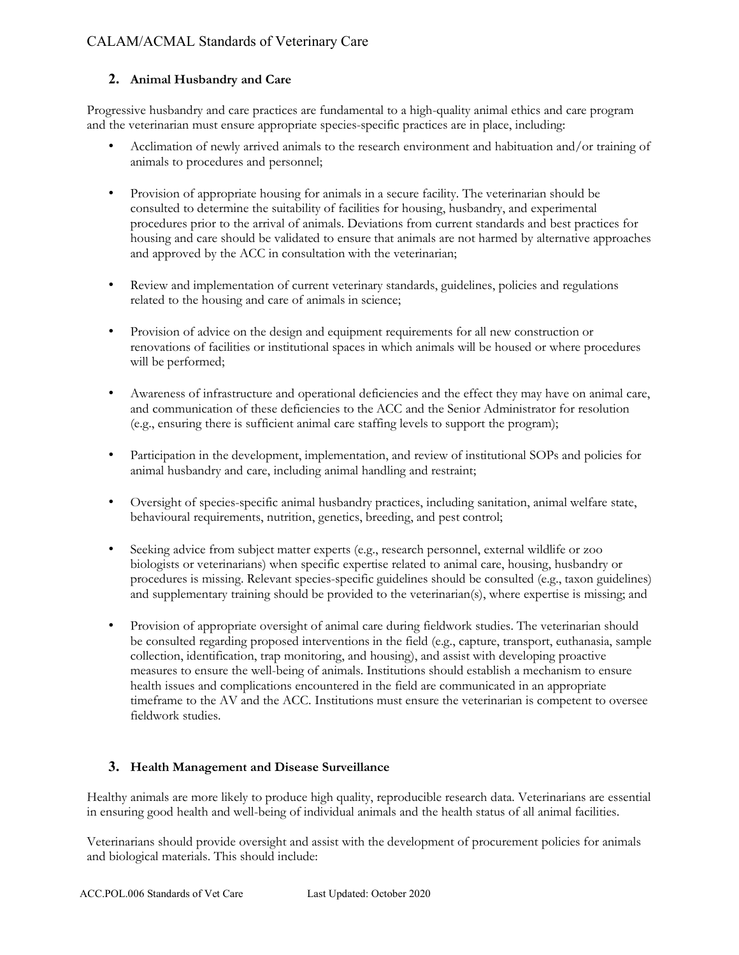### **2. Animal Husbandry and Care**

Progressive husbandry and care practices are fundamental to a high-quality animal ethics and care program and the veterinarian must ensure appropriate species-specific practices are in place, including:

- Acclimation of newly arrived animals to the research environment and habituation and/or training of animals to procedures and personnel;
- Provision of appropriate housing for animals in a secure facility. The veterinarian should be consulted to determine the suitability of facilities for housing, husbandry, and experimental procedures prior to the arrival of animals. Deviations from current standards and best practices for housing and care should be validated to ensure that animals are not harmed by alternative approaches and approved by the ACC in consultation with the veterinarian;
- Review and implementation of current veterinary standards, guidelines, policies and regulations related to the housing and care of animals in science;
- Provision of advice on the design and equipment requirements for all new construction or renovations of facilities or institutional spaces in which animals will be housed or where procedures will be performed;
- Awareness of infrastructure and operational deficiencies and the effect they may have on animal care, and communication of these deficiencies to the ACC and the Senior Administrator for resolution (e.g., ensuring there is sufficient animal care staffing levels to support the program);
- Participation in the development, implementation, and review of institutional SOPs and policies for animal husbandry and care, including animal handling and restraint;
- Oversight of species-specific animal husbandry practices, including sanitation, animal welfare state, behavioural requirements, nutrition, genetics, breeding, and pest control;
- Seeking advice from subject matter experts (e.g., research personnel, external wildlife or zoo biologists or veterinarians) when specific expertise related to animal care, housing, husbandry or procedures is missing. Relevant species-specific guidelines should be consulted (e.g., taxon guidelines) and supplementary training should be provided to the veterinarian(s), where expertise is missing; and
- Provision of appropriate oversight of animal care during fieldwork studies. The veterinarian should be consulted regarding proposed interventions in the field (e.g., capture, transport, euthanasia, sample collection, identification, trap monitoring, and housing), and assist with developing proactive measures to ensure the well-being of animals. Institutions should establish a mechanism to ensure health issues and complications encountered in the field are communicated in an appropriate timeframe to the AV and the ACC. Institutions must ensure the veterinarian is competent to oversee fieldwork studies.

### **3. Health Management and Disease Surveillance**

Healthy animals are more likely to produce high quality, reproducible research data. Veterinarians are essential in ensuring good health and well-being of individual animals and the health status of all animal facilities.

Veterinarians should provide oversight and assist with the development of procurement policies for animals and biological materials. This should include: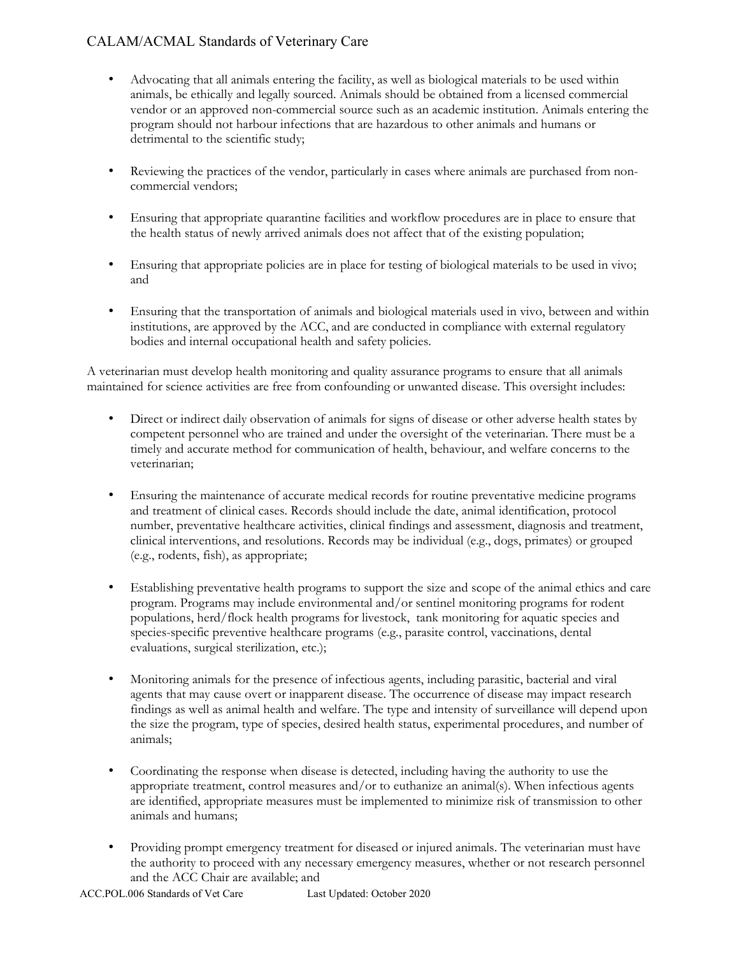- Advocating that all animals entering the facility, as well as biological materials to be used within animals, be ethically and legally sourced. Animals should be obtained from a licensed commercial vendor or an approved non-commercial source such as an academic institution. Animals entering the program should not harbour infections that are hazardous to other animals and humans or detrimental to the scientific study;
- Reviewing the practices of the vendor, particularly in cases where animals are purchased from noncommercial vendors;
- Ensuring that appropriate quarantine facilities and workflow procedures are in place to ensure that the health status of newly arrived animals does not affect that of the existing population;
- Ensuring that appropriate policies are in place for testing of biological materials to be used in vivo; and
- Ensuring that the transportation of animals and biological materials used in vivo, between and within institutions, are approved by the ACC, and are conducted in compliance with external regulatory bodies and internal occupational health and safety policies.

A veterinarian must develop health monitoring and quality assurance programs to ensure that all animals maintained for science activities are free from confounding or unwanted disease. This oversight includes:

- Direct or indirect daily observation of animals for signs of disease or other adverse health states by competent personnel who are trained and under the oversight of the veterinarian. There must be a timely and accurate method for communication of health, behaviour, and welfare concerns to the veterinarian;
- Ensuring the maintenance of accurate medical records for routine preventative medicine programs and treatment of clinical cases. Records should include the date, animal identification, protocol number, preventative healthcare activities, clinical findings and assessment, diagnosis and treatment, clinical interventions, and resolutions. Records may be individual (e.g., dogs, primates) or grouped (e.g., rodents, fish), as appropriate;
- Establishing preventative health programs to support the size and scope of the animal ethics and care program. Programs may include environmental and/or sentinel monitoring programs for rodent populations, herd/flock health programs for livestock, tank monitoring for aquatic species and species-specific preventive healthcare programs (e.g., parasite control, vaccinations, dental evaluations, surgical sterilization, etc.);
- Monitoring animals for the presence of infectious agents, including parasitic, bacterial and viral agents that may cause overt or inapparent disease. The occurrence of disease may impact research findings as well as animal health and welfare. The type and intensity of surveillance will depend upon the size the program, type of species, desired health status, experimental procedures, and number of animals;
- Coordinating the response when disease is detected, including having the authority to use the appropriate treatment, control measures and/or to euthanize an animal(s). When infectious agents are identified, appropriate measures must be implemented to minimize risk of transmission to other animals and humans;
- Providing prompt emergency treatment for diseased or injured animals. The veterinarian must have the authority to proceed with any necessary emergency measures, whether or not research personnel and the ACC Chair are available; and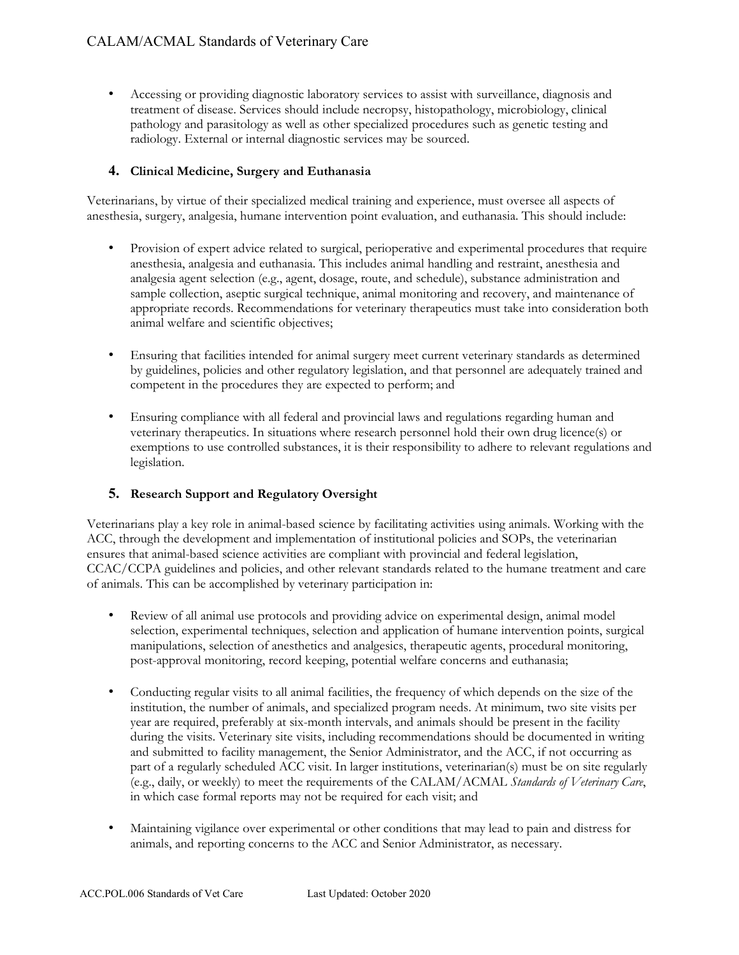• Accessing or providing diagnostic laboratory services to assist with surveillance, diagnosis and treatment of disease. Services should include necropsy, histopathology, microbiology, clinical pathology and parasitology as well as other specialized procedures such as genetic testing and radiology. External or internal diagnostic services may be sourced.

#### **4. Clinical Medicine, Surgery and Euthanasia**

Veterinarians, by virtue of their specialized medical training and experience, must oversee all aspects of anesthesia, surgery, analgesia, humane intervention point evaluation, and euthanasia. This should include:

- Provision of expert advice related to surgical, perioperative and experimental procedures that require anesthesia, analgesia and euthanasia. This includes animal handling and restraint, anesthesia and analgesia agent selection (e.g., agent, dosage, route, and schedule), substance administration and sample collection, aseptic surgical technique, animal monitoring and recovery, and maintenance of appropriate records. Recommendations for veterinary therapeutics must take into consideration both animal welfare and scientific objectives;
- Ensuring that facilities intended for animal surgery meet current veterinary standards as determined by guidelines, policies and other regulatory legislation, and that personnel are adequately trained and competent in the procedures they are expected to perform; and
- Ensuring compliance with all federal and provincial laws and regulations regarding human and veterinary therapeutics. In situations where research personnel hold their own drug licence(s) or exemptions to use controlled substances, it is their responsibility to adhere to relevant regulations and legislation.

### **5. Research Support and Regulatory Oversight**

Veterinarians play a key role in animal-based science by facilitating activities using animals. Working with the ACC, through the development and implementation of institutional policies and SOPs, the veterinarian ensures that animal-based science activities are compliant with provincial and federal legislation, CCAC/CCPA guidelines and policies, and other relevant standards related to the humane treatment and care of animals. This can be accomplished by veterinary participation in:

- Review of all animal use protocols and providing advice on experimental design, animal model selection, experimental techniques, selection and application of humane intervention points, surgical manipulations, selection of anesthetics and analgesics, therapeutic agents, procedural monitoring, post-approval monitoring, record keeping, potential welfare concerns and euthanasia;
- Conducting regular visits to all animal facilities, the frequency of which depends on the size of the institution, the number of animals, and specialized program needs. At minimum, two site visits per year are required, preferably at six-month intervals, and animals should be present in the facility during the visits. Veterinary site visits, including recommendations should be documented in writing and submitted to facility management, the Senior Administrator, and the ACC, if not occurring as part of a regularly scheduled ACC visit. In larger institutions, veterinarian(s) must be on site regularly (e.g., daily, or weekly) to meet the requirements of the CALAM/ACMAL *Standards of Veterinary Care*, in which case formal reports may not be required for each visit; and
- Maintaining vigilance over experimental or other conditions that may lead to pain and distress for animals, and reporting concerns to the ACC and Senior Administrator, as necessary.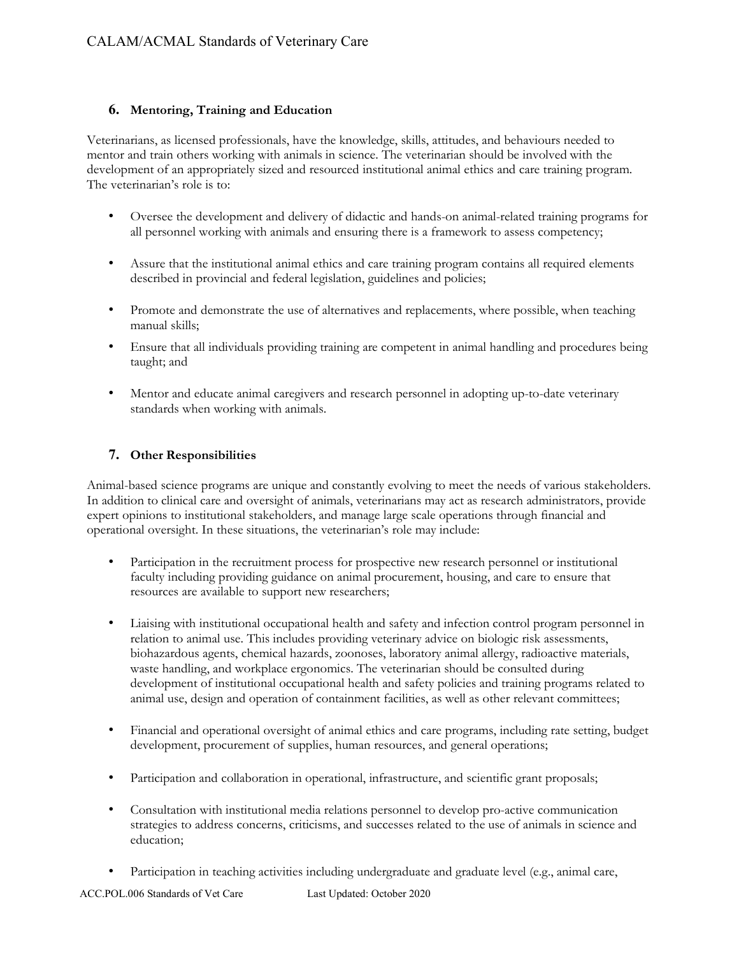### **6. Mentoring, Training and Education**

Veterinarians, as licensed professionals, have the knowledge, skills, attitudes, and behaviours needed to mentor and train others working with animals in science. The veterinarian should be involved with the development of an appropriately sized and resourced institutional animal ethics and care training program. The veterinarian's role is to:

- Oversee the development and delivery of didactic and hands-on animal-related training programs for all personnel working with animals and ensuring there is a framework to assess competency;
- Assure that the institutional animal ethics and care training program contains all required elements described in provincial and federal legislation, guidelines and policies;
- Promote and demonstrate the use of alternatives and replacements, where possible, when teaching manual skills;
- Ensure that all individuals providing training are competent in animal handling and procedures being taught; and
- Mentor and educate animal caregivers and research personnel in adopting up-to-date veterinary standards when working with animals.

### **7. Other Responsibilities**

Animal-based science programs are unique and constantly evolving to meet the needs of various stakeholders. In addition to clinical care and oversight of animals, veterinarians may act as research administrators, provide expert opinions to institutional stakeholders, and manage large scale operations through financial and operational oversight. In these situations, the veterinarian's role may include:

- Participation in the recruitment process for prospective new research personnel or institutional faculty including providing guidance on animal procurement, housing, and care to ensure that resources are available to support new researchers;
- Liaising with institutional occupational health and safety and infection control program personnel in relation to animal use. This includes providing veterinary advice on biologic risk assessments, biohazardous agents, chemical hazards, zoonoses, laboratory animal allergy, radioactive materials, waste handling, and workplace ergonomics. The veterinarian should be consulted during development of institutional occupational health and safety policies and training programs related to animal use, design and operation of containment facilities, as well as other relevant committees;
- Financial and operational oversight of animal ethics and care programs, including rate setting, budget development, procurement of supplies, human resources, and general operations;
- Participation and collaboration in operational, infrastructure, and scientific grant proposals;
- Consultation with institutional media relations personnel to develop pro-active communication strategies to address concerns, criticisms, and successes related to the use of animals in science and education;
- Participation in teaching activities including undergraduate and graduate level (e.g., animal care,